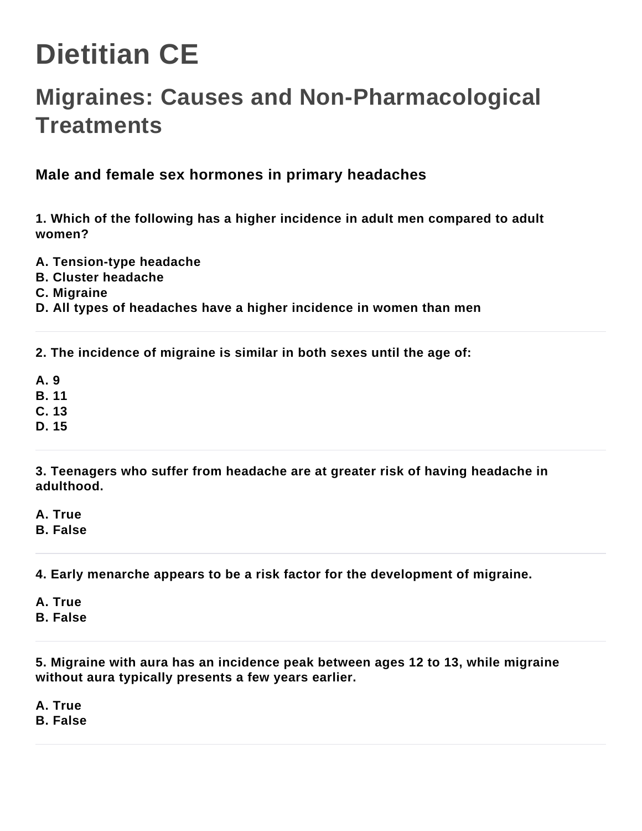# **Dietitian CE**

# **Migraines: Causes and Non-Pharmacological Treatments**

# **Male and female sex hormones in primary headaches**

**1. Which of the following has a higher incidence in adult men compared to adult women?**

- **A. Tension-type headache**
- **B. Cluster headache**
- **C. Migraine**
- **D. All types of headaches have a higher incidence in women than men**

**2. The incidence of migraine is similar in both sexes until the age of:**

- **A. 9**
- **B. 11**
- **C. 13**
- **D. 15**

**3. Teenagers who suffer from headache are at greater risk of having headache in adulthood.**

**A. True**

**B. False**

**4. Early menarche appears to be a risk factor for the development of migraine.**

- **A. True**
- **B. False**

**5. Migraine with aura has an incidence peak between ages 12 to 13, while migraine without aura typically presents a few years earlier.**

**A. True**

**B. False**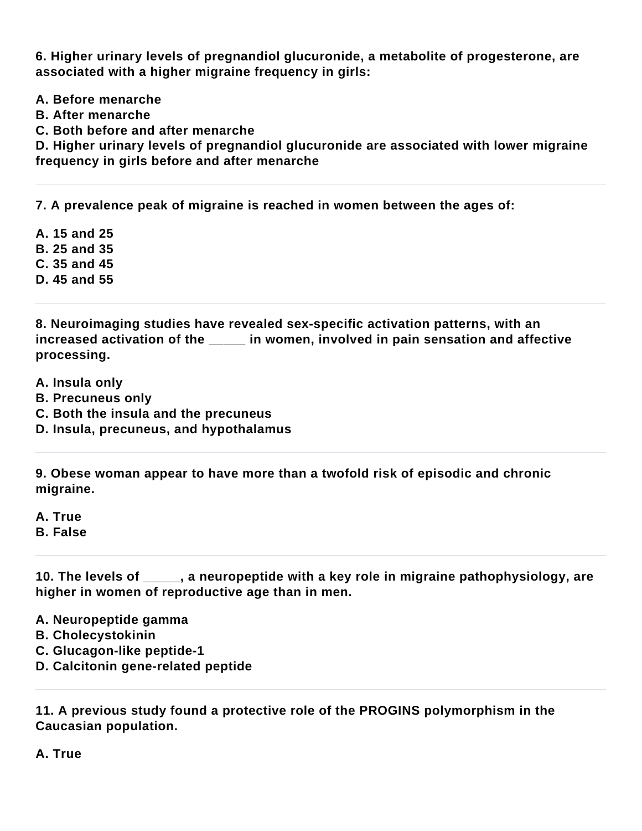**6. Higher urinary levels of pregnandiol glucuronide, a metabolite of progesterone, are associated with a higher migraine frequency in girls:**

- **A. Before menarche**
- **B. After menarche**
- **C. Both before and after menarche**

**D. Higher urinary levels of pregnandiol glucuronide are associated with lower migraine frequency in girls before and after menarche**

**7. A prevalence peak of migraine is reached in women between the ages of:**

**A. 15 and 25 B. 25 and 35 C. 35 and 45**

**D. 45 and 55**

**8. Neuroimaging studies have revealed sex-specific activation patterns, with an increased activation of the \_\_\_\_\_ in women, involved in pain sensation and affective processing.**

- **A. Insula only**
- **B. Precuneus only**
- **C. Both the insula and the precuneus**
- **D. Insula, precuneus, and hypothalamus**

**9. Obese woman appear to have more than a twofold risk of episodic and chronic migraine.**

**A. True**

**B. False**

**10. The levels of \_\_\_\_\_, a neuropeptide with a key role in migraine pathophysiology, are higher in women of reproductive age than in men.**

**A. Neuropeptide gamma**

- **B. Cholecystokinin**
- **C. Glucagon-like peptide-1**
- **D. Calcitonin gene-related peptide**

**11. A previous study found a protective role of the PROGINS polymorphism in the Caucasian population.**

**A. True**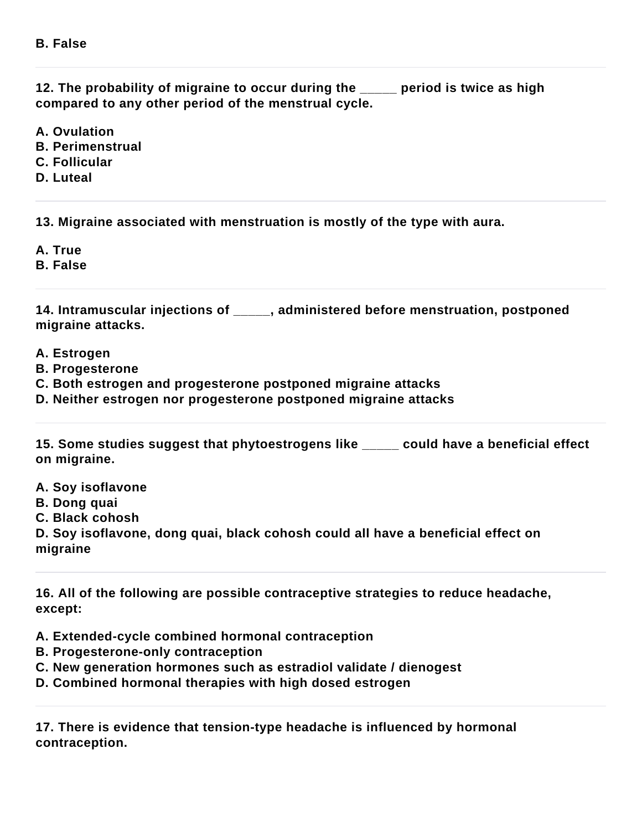**12. The probability of migraine to occur during the \_\_\_\_\_ period is twice as high compared to any other period of the menstrual cycle.**

**A. Ovulation**

- **B. Perimenstrual**
- **C. Follicular**
- **D. Luteal**

**13. Migraine associated with menstruation is mostly of the type with aura.**

**A. True**

**B. False**

**14. Intramuscular injections of \_\_\_\_\_, administered before menstruation, postponed migraine attacks.**

- **A. Estrogen**
- **B. Progesterone**

**C. Both estrogen and progesterone postponed migraine attacks**

**D. Neither estrogen nor progesterone postponed migraine attacks**

**15. Some studies suggest that phytoestrogens like \_\_\_\_\_ could have a beneficial effect on migraine.**

- **A. Soy isoflavone**
- **B. Dong quai**
- **C. Black cohosh**

**D. Soy isoflavone, dong quai, black cohosh could all have a beneficial effect on migraine**

**16. All of the following are possible contraceptive strategies to reduce headache, except:**

**A. Extended-cycle combined hormonal contraception**

- **B. Progesterone-only contraception**
- **C. New generation hormones such as estradiol validate / dienogest**
- **D. Combined hormonal therapies with high dosed estrogen**

**17. There is evidence that tension-type headache is influenced by hormonal contraception.**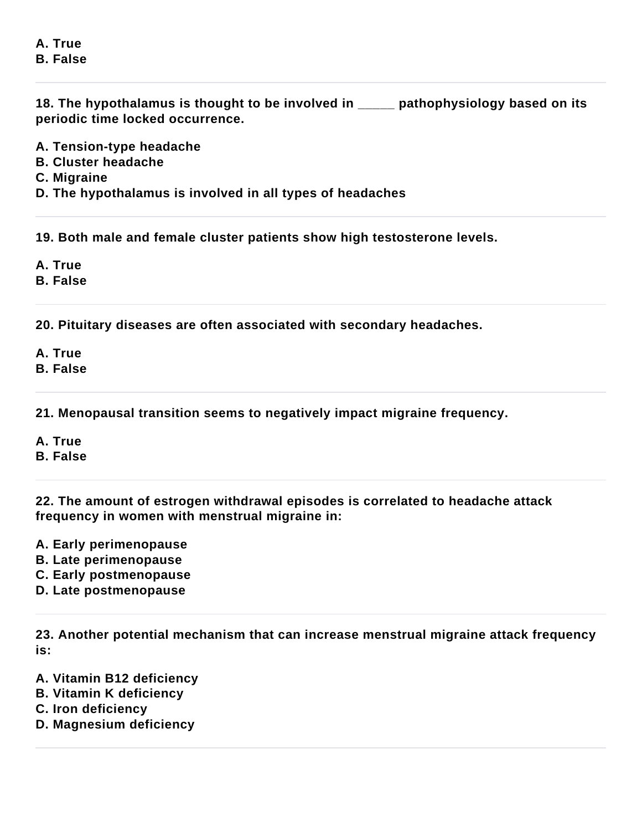#### **A. True B. False**

**18. The hypothalamus is thought to be involved in \_\_\_\_\_ pathophysiology based on its periodic time locked occurrence.**

- **A. Tension-type headache**
- **B. Cluster headache**
- **C. Migraine**
- **D. The hypothalamus is involved in all types of headaches**

**19. Both male and female cluster patients show high testosterone levels.**

- **A. True**
- **B. False**

**20. Pituitary diseases are often associated with secondary headaches.**

- **A. True**
- **B. False**

**21. Menopausal transition seems to negatively impact migraine frequency.**

- **A. True**
- **B. False**

**22. The amount of estrogen withdrawal episodes is correlated to headache attack frequency in women with menstrual migraine in:**

- **A. Early perimenopause**
- **B. Late perimenopause**
- **C. Early postmenopause**
- **D. Late postmenopause**

**23. Another potential mechanism that can increase menstrual migraine attack frequency is:**

- **A. Vitamin B12 deficiency**
- **B. Vitamin K deficiency**
- **C. Iron deficiency**
- **D. Magnesium deficiency**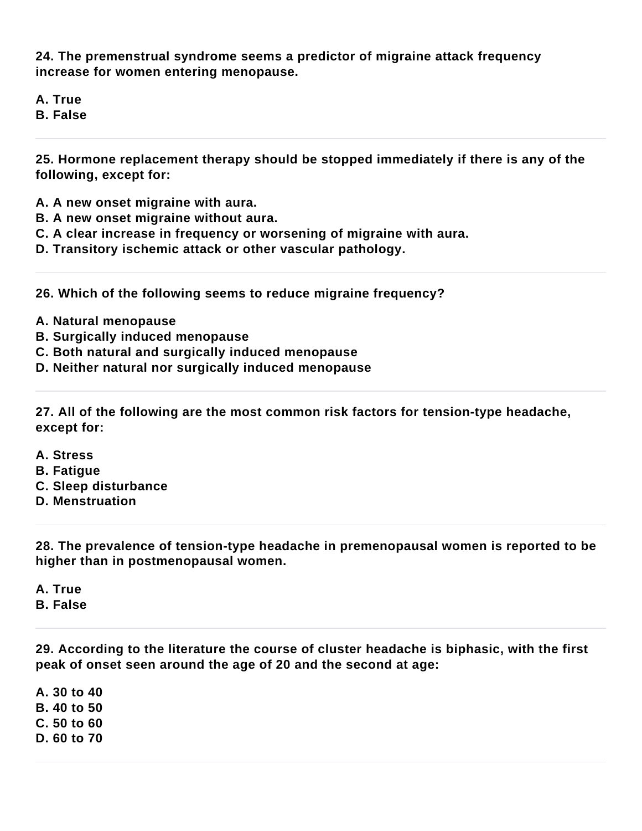**24. The premenstrual syndrome seems a predictor of migraine attack frequency increase for women entering menopause.**

**A. True**

**B. False**

**25. Hormone replacement therapy should be stopped immediately if there is any of the following, except for:**

- **A. A new onset migraine with aura.**
- **B. A new onset migraine without aura.**
- **C. A clear increase in frequency or worsening of migraine with aura.**
- **D. Transitory ischemic attack or other vascular pathology.**

**26. Which of the following seems to reduce migraine frequency?**

- **A. Natural menopause**
- **B. Surgically induced menopause**
- **C. Both natural and surgically induced menopause**
- **D. Neither natural nor surgically induced menopause**

**27. All of the following are the most common risk factors for tension-type headache, except for:**

- **A. Stress**
- **B. Fatigue**
- **C. Sleep disturbance**
- **D. Menstruation**

**28. The prevalence of tension-type headache in premenopausal women is reported to be higher than in postmenopausal women.**

**A. True**

**B. False**

**29. According to the literature the course of cluster headache is biphasic, with the first peak of onset seen around the age of 20 and the second at age:**

**A. 30 to 40 B. 40 to 50 C. 50 to 60 D. 60 to 70**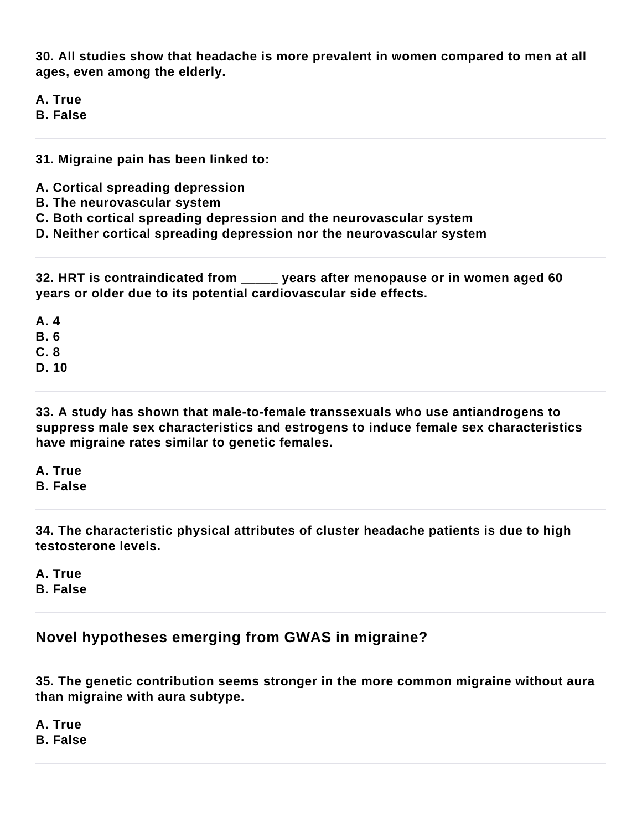**30. All studies show that headache is more prevalent in women compared to men at all ages, even among the elderly.**

**A. True**

**B. False**

**31. Migraine pain has been linked to:**

- **A. Cortical spreading depression**
- **B. The neurovascular system**
- **C. Both cortical spreading depression and the neurovascular system**
- **D. Neither cortical spreading depression nor the neurovascular system**

**32. HRT is contraindicated from \_\_\_\_\_ years after menopause or in women aged 60 years or older due to its potential cardiovascular side effects.**

**A. 4 B. 6 C. 8**

**D. 10**

**33. A study has shown that male-to-female transsexuals who use antiandrogens to suppress male sex characteristics and estrogens to induce female sex characteristics have migraine rates similar to genetic females.**

**A. True B. False**

**34. The characteristic physical attributes of cluster headache patients is due to high testosterone levels.**

**A. True B. False**

## **Novel hypotheses emerging from GWAS in migraine?**

**35. The genetic contribution seems stronger in the more common migraine without aura than migraine with aura subtype.**

**A. True**

**B. False**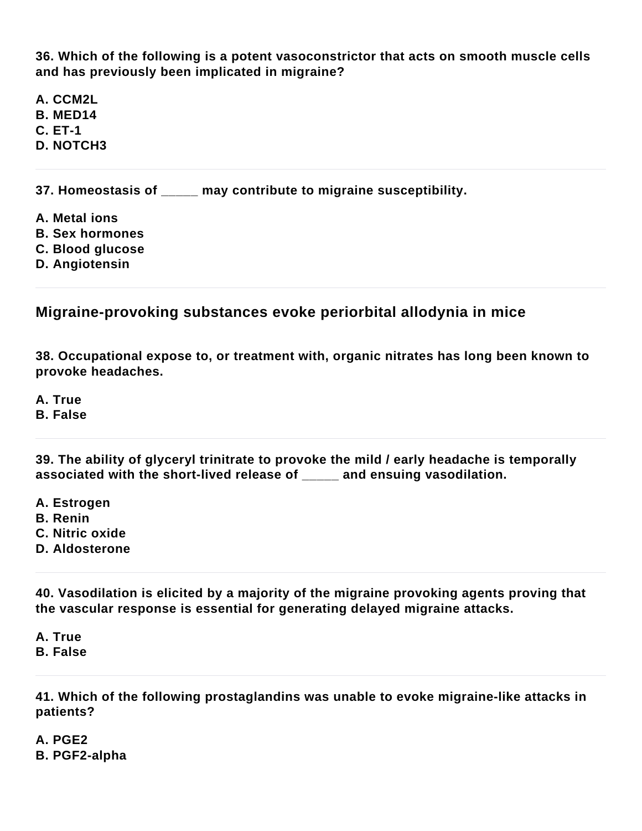**36. Which of the following is a potent vasoconstrictor that acts on smooth muscle cells and has previously been implicated in migraine?**

**A. CCM2L B. MED14 C. ET-1 D. NOTCH3**

**37. Homeostasis of \_\_\_\_\_ may contribute to migraine susceptibility.**

- **A. Metal ions**
- **B. Sex hormones**
- **C. Blood glucose**
- **D. Angiotensin**

### **Migraine-provoking substances evoke periorbital allodynia in mice**

**38. Occupational expose to, or treatment with, organic nitrates has long been known to provoke headaches.**

**A. True**

**B. False**

**39. The ability of glyceryl trinitrate to provoke the mild / early headache is temporally associated with the short-lived release of \_\_\_\_\_ and ensuing vasodilation.**

- **A. Estrogen**
- **B. Renin**
- **C. Nitric oxide**
- **D. Aldosterone**

**40. Vasodilation is elicited by a majority of the migraine provoking agents proving that the vascular response is essential for generating delayed migraine attacks.**

**A. True B. False**

**41. Which of the following prostaglandins was unable to evoke migraine-like attacks in patients?**

**A. PGE2 B. PGF2-alpha**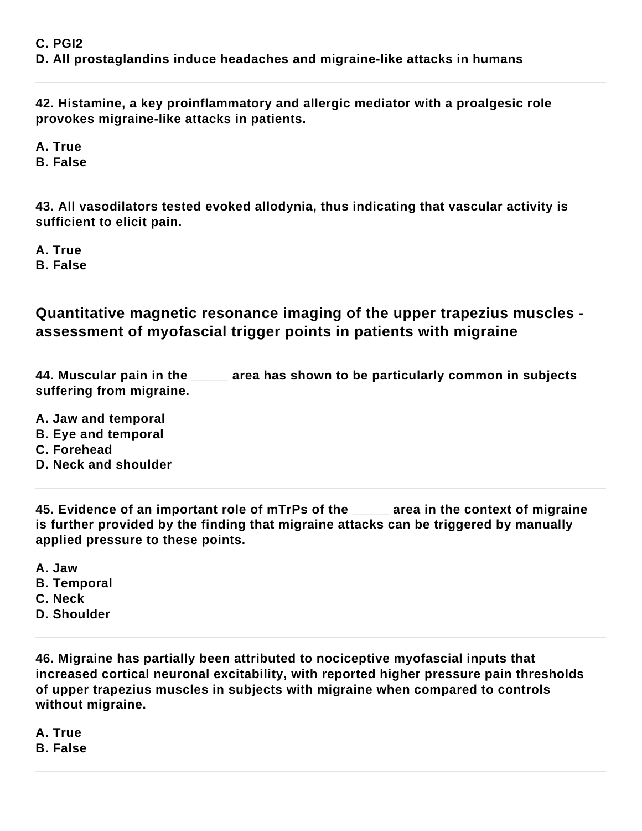#### **C. PGI2**

**D. All prostaglandins induce headaches and migraine-like attacks in humans**

**42. Histamine, a key proinflammatory and allergic mediator with a proalgesic role provokes migraine-like attacks in patients.**

**A. True**

**B. False**

**43. All vasodilators tested evoked allodynia, thus indicating that vascular activity is sufficient to elicit pain.**

**A. True B. False**

**Quantitative magnetic resonance imaging of the upper trapezius muscles assessment of myofascial trigger points in patients with migraine**

**44. Muscular pain in the \_\_\_\_\_ area has shown to be particularly common in subjects suffering from migraine.**

- **A. Jaw and temporal**
- **B. Eye and temporal**
- **C. Forehead**
- **D. Neck and shoulder**

**45. Evidence of an important role of mTrPs of the \_\_\_\_\_ area in the context of migraine is further provided by the finding that migraine attacks can be triggered by manually applied pressure to these points.**

- **A. Jaw**
- **B. Temporal**
- **C. Neck**
- **D. Shoulder**

**46. Migraine has partially been attributed to nociceptive myofascial inputs that increased cortical neuronal excitability, with reported higher pressure pain thresholds of upper trapezius muscles in subjects with migraine when compared to controls without migraine.**

**A. True B. False**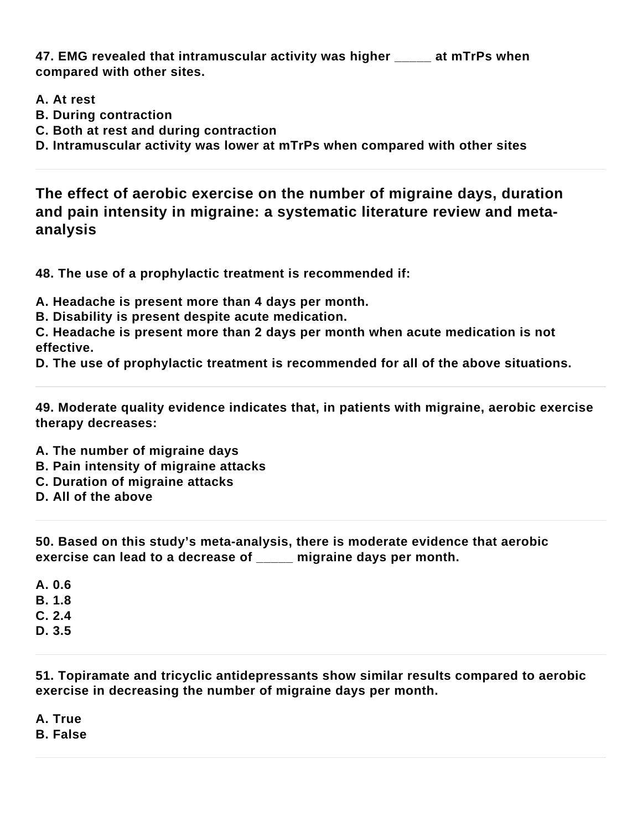**47. EMG revealed that intramuscular activity was higher \_\_\_\_\_ at mTrPs when compared with other sites.**

- **A. At rest**
- **B. During contraction**
- **C. Both at rest and during contraction**
- **D. Intramuscular activity was lower at mTrPs when compared with other sites**

**The effect of aerobic exercise on the number of migraine days, duration and pain intensity in migraine: a systematic literature review and metaanalysis**

**48. The use of a prophylactic treatment is recommended if:**

**A. Headache is present more than 4 days per month.**

**B. Disability is present despite acute medication.**

**C. Headache is present more than 2 days per month when acute medication is not effective.**

**D. The use of prophylactic treatment is recommended for all of the above situations.**

**49. Moderate quality evidence indicates that, in patients with migraine, aerobic exercise therapy decreases:**

- **A. The number of migraine days**
- **B. Pain intensity of migraine attacks**
- **C. Duration of migraine attacks**
- **D. All of the above**

**50. Based on this study's meta-analysis, there is moderate evidence that aerobic exercise can lead to a decrease of \_\_\_\_\_ migraine days per month.**

**A. 0.6 B. 1.8 C. 2.4**

**D. 3.5**

**51. Topiramate and tricyclic antidepressants show similar results compared to aerobic exercise in decreasing the number of migraine days per month.**

**A. True**

**B. False**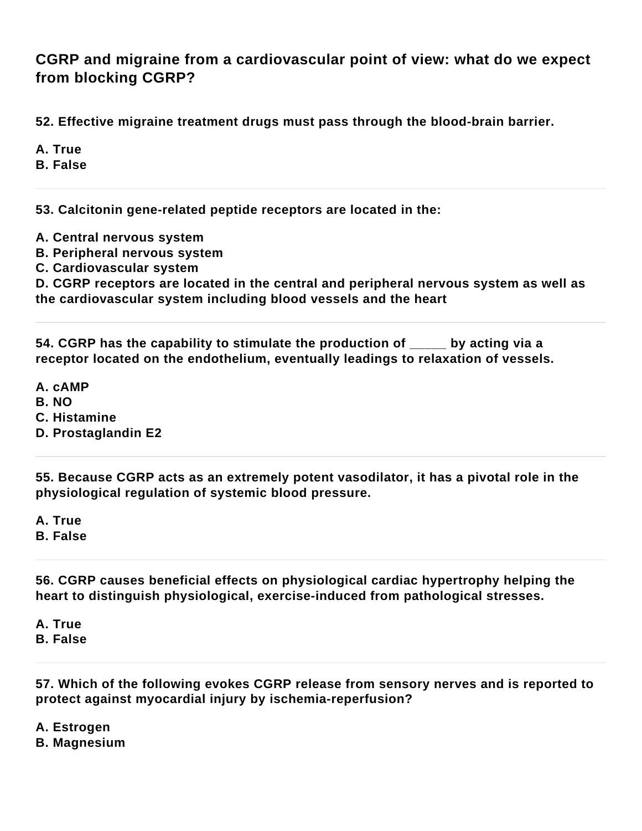**CGRP and migraine from a cardiovascular point of view: what do we expect from blocking CGRP?**

**52. Effective migraine treatment drugs must pass through the blood-brain barrier.**

**A. True**

**B. False**

**53. Calcitonin gene-related peptide receptors are located in the:**

- **A. Central nervous system**
- **B. Peripheral nervous system**
- **C. Cardiovascular system**

**D. CGRP receptors are located in the central and peripheral nervous system as well as the cardiovascular system including blood vessels and the heart**

**54. CGRP has the capability to stimulate the production of \_\_\_\_\_ by acting via a receptor located on the endothelium, eventually leadings to relaxation of vessels.**

**A. cAMP**

**B. NO**

**C. Histamine**

**D. Prostaglandin E2**

**55. Because CGRP acts as an extremely potent vasodilator, it has a pivotal role in the physiological regulation of systemic blood pressure.**

**A. True**

**B. False**

**56. CGRP causes beneficial effects on physiological cardiac hypertrophy helping the heart to distinguish physiological, exercise-induced from pathological stresses.**

**A. True B. False**

**57. Which of the following evokes CGRP release from sensory nerves and is reported to protect against myocardial injury by ischemia-reperfusion?**

**A. Estrogen**

**B. Magnesium**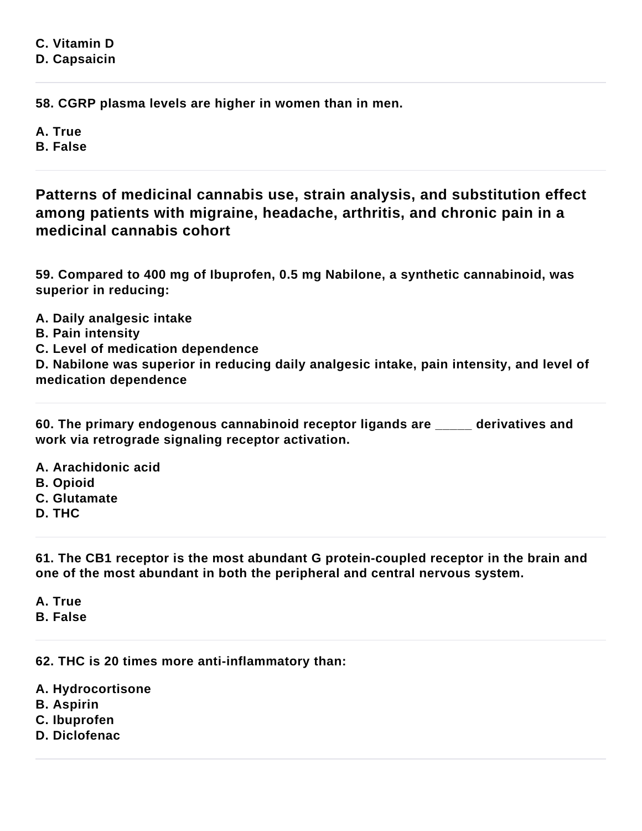**C. Vitamin D D. Capsaicin**

**58. CGRP plasma levels are higher in women than in men.**

**A. True**

**B. False**

**Patterns of medicinal cannabis use, strain analysis, and substitution effect among patients with migraine, headache, arthritis, and chronic pain in a medicinal cannabis cohort**

**59. Compared to 400 mg of Ibuprofen, 0.5 mg Nabilone, a synthetic cannabinoid, was superior in reducing:**

- **A. Daily analgesic intake**
- **B. Pain intensity**
- **C. Level of medication dependence**

**D. Nabilone was superior in reducing daily analgesic intake, pain intensity, and level of medication dependence**

**60. The primary endogenous cannabinoid receptor ligands are \_\_\_\_\_ derivatives and work via retrograde signaling receptor activation.**

**A. Arachidonic acid B. Opioid C. Glutamate D. THC**

**61. The CB1 receptor is the most abundant G protein-coupled receptor in the brain and one of the most abundant in both the peripheral and central nervous system.**

**A. True**

**B. False**

**62. THC is 20 times more anti-inflammatory than:**

**A. Hydrocortisone**

- **B. Aspirin**
- **C. Ibuprofen**
- **D. Diclofenac**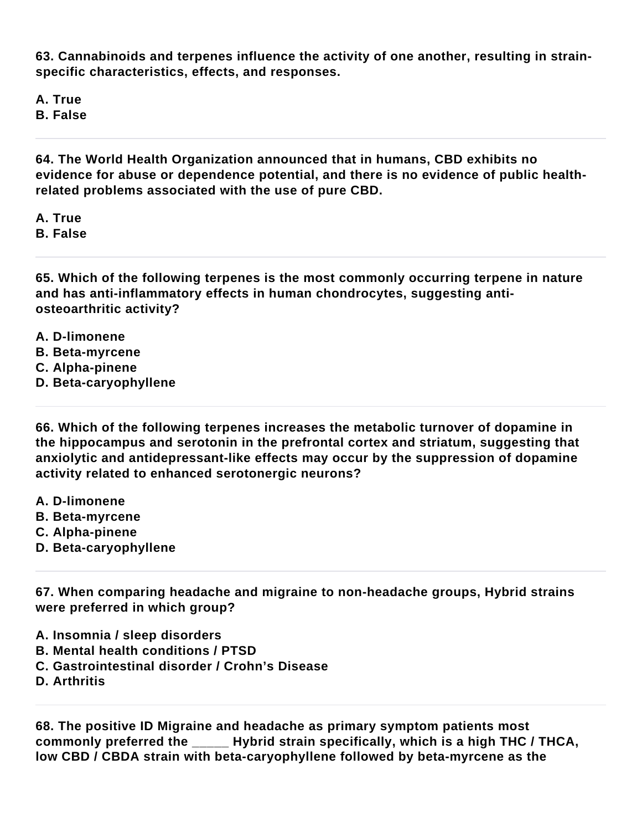**63. Cannabinoids and terpenes influence the activity of one another, resulting in strainspecific characteristics, effects, and responses.**

**A. True**

**B. False**

**64. The World Health Organization announced that in humans, CBD exhibits no evidence for abuse or dependence potential, and there is no evidence of public healthrelated problems associated with the use of pure CBD.**

**A. True B. False**

**65. Which of the following terpenes is the most commonly occurring terpene in nature and has anti-inflammatory effects in human chondrocytes, suggesting antiosteoarthritic activity?**

- **A. D-limonene**
- **B. Beta-myrcene**
- **C. Alpha-pinene**
- **D. Beta-caryophyllene**

**66. Which of the following terpenes increases the metabolic turnover of dopamine in the hippocampus and serotonin in the prefrontal cortex and striatum, suggesting that anxiolytic and antidepressant-like effects may occur by the suppression of dopamine activity related to enhanced serotonergic neurons?**

- **A. D-limonene**
- **B. Beta-myrcene**
- **C. Alpha-pinene**
- **D. Beta-caryophyllene**

**67. When comparing headache and migraine to non-headache groups, Hybrid strains were preferred in which group?**

- **A. Insomnia / sleep disorders**
- **B. Mental health conditions / PTSD**
- **C. Gastrointestinal disorder / Crohn's Disease**
- **D. Arthritis**

**68. The positive ID Migraine and headache as primary symptom patients most commonly preferred the \_\_\_\_\_ Hybrid strain specifically, which is a high THC / THCA, low CBD / CBDA strain with beta-caryophyllene followed by beta-myrcene as the**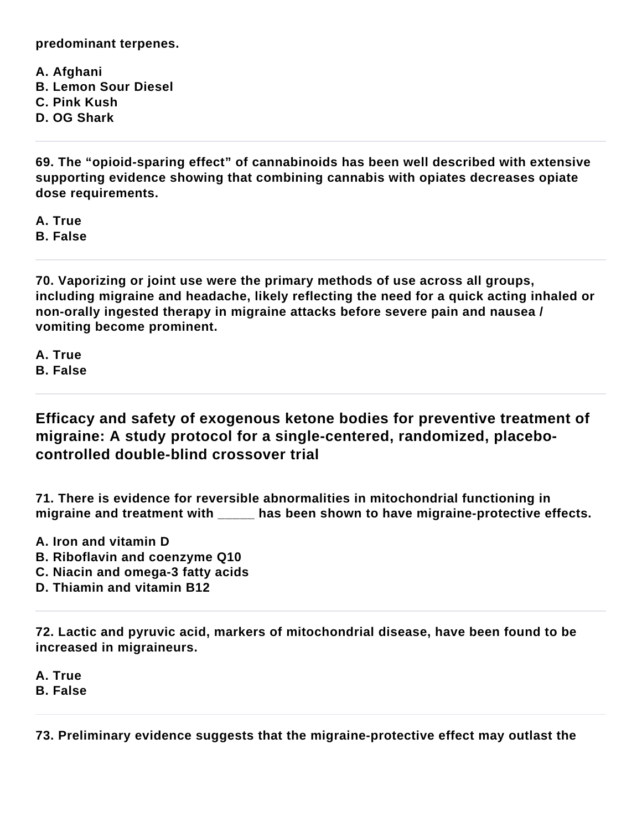**predominant terpenes.**

**A. Afghani B. Lemon Sour Diesel C. Pink Kush D. OG Shark**

**69. The "opioid-sparing effect" of cannabinoids has been well described with extensive supporting evidence showing that combining cannabis with opiates decreases opiate dose requirements.**

**A. True**

**B. False**

**70. Vaporizing or joint use were the primary methods of use across all groups, including migraine and headache, likely reflecting the need for a quick acting inhaled or non-orally ingested therapy in migraine attacks before severe pain and nausea / vomiting become prominent.**

**A. True B. False**

**Efficacy and safety of exogenous ketone bodies for preventive treatment of migraine: A study protocol for a single-centered, randomized, placebocontrolled double-blind crossover trial**

**71. There is evidence for reversible abnormalities in mitochondrial functioning in migraine and treatment with \_\_\_\_\_ has been shown to have migraine-protective effects.**

- **A. Iron and vitamin D**
- **B. Riboflavin and coenzyme Q10**
- **C. Niacin and omega-3 fatty acids**
- **D. Thiamin and vitamin B12**

**72. Lactic and pyruvic acid, markers of mitochondrial disease, have been found to be increased in migraineurs.**

**A. True**

**B. False**

**73. Preliminary evidence suggests that the migraine-protective effect may outlast the**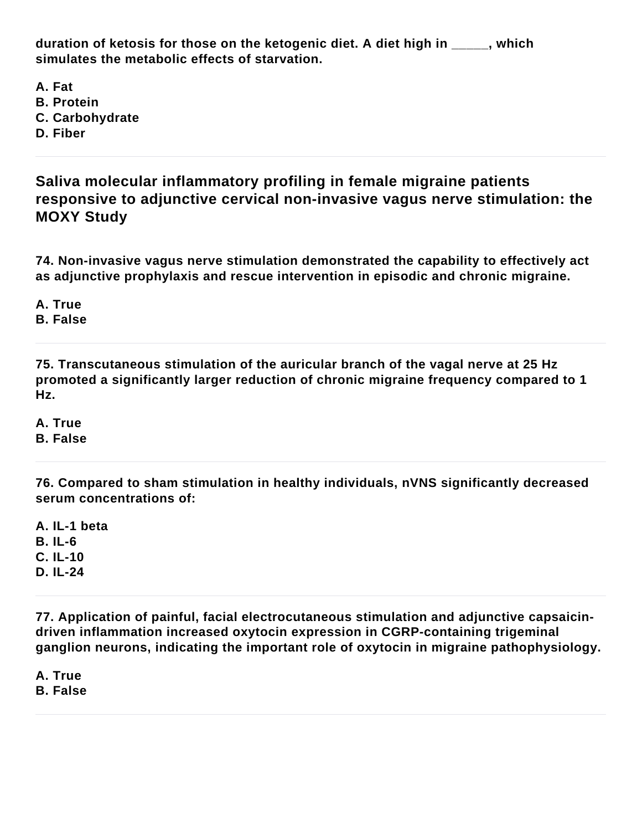**duration of ketosis for those on the ketogenic diet. A diet high in \_\_\_\_\_, which simulates the metabolic effects of starvation.**

**A. Fat B. Protein C. Carbohydrate D. Fiber**

**Saliva molecular inflammatory profiling in female migraine patients responsive to adjunctive cervical non-invasive vagus nerve stimulation: the MOXY Study**

**74. Non-invasive vagus nerve stimulation demonstrated the capability to effectively act as adjunctive prophylaxis and rescue intervention in episodic and chronic migraine.**

**A. True**

**B. False**

**75. Transcutaneous stimulation of the auricular branch of the vagal nerve at 25 Hz promoted a significantly larger reduction of chronic migraine frequency compared to 1 Hz.**

**A. True B. False**

**76. Compared to sham stimulation in healthy individuals, nVNS significantly decreased serum concentrations of:**

**A. IL-1 beta B. IL-6 C. IL-10 D. IL-24**

**77. Application of painful, facial electrocutaneous stimulation and adjunctive capsaicindriven inflammation increased oxytocin expression in CGRP-containing trigeminal ganglion neurons, indicating the important role of oxytocin in migraine pathophysiology.**

**A. True B. False**